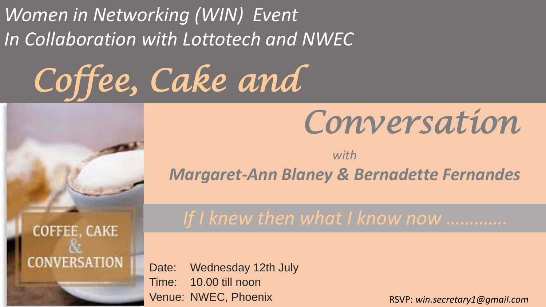*Women in Networking (WIN) Event In Collaboration with Lottotech and NWEC*

*Coffee, Cake and*



## *with Margaret-Ann Blaney & Bernadette Fernandes*

**COFFEE, CAKE CONVERSATION**  *If I knew then what I know now ………….*

Date: Wednesday 12th July Time: 10.00 till noon Venue: NWEC, Phoenix

RSVP: *win.secretary1@gmail.com*